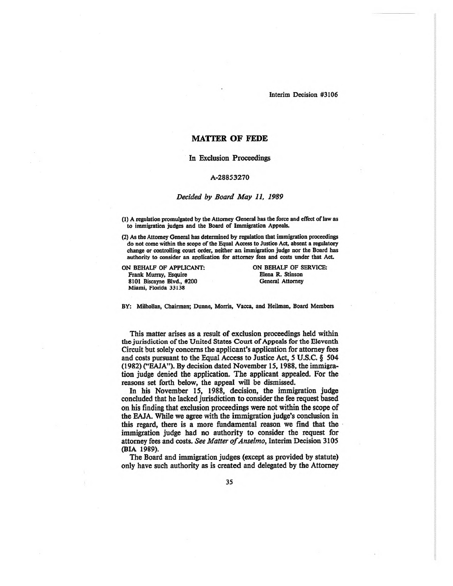Interim Decision #3106

# **MATTER OF FEDE**

## **In Exclusion Proceedings**

#### A-28853270

#### *Decided by Board May 11, 1989*

(1) A regulation promulgated by the Attorney General has the force and effect of law as to immigration judges and the Board of Immigration Appeals.

(2) As the Attorney General has determined by regulation that immigration proceedings do not come within the scope of the Equal Access to Justice Act, absent a regulatory change or controlling court order, neither an immigration judge nor the Board has authority to consider an application for attorney fees and costs under that Act

ON BEHALF OF APPLICANT: Frank Murray, Esquire 8101 Biscayne Blvd., #200 Miami, Florida 33138

ON BEHALF OF SERVICE: Elena R. Stinson General Attorney

BY: Milhollan, Chairman; Dunne, Morris, Vacca, and Heilman, Board Members

**This matter arises as a result of exclusion proceedings held within** the jurisdiction of the United States Court of Appeals for the Eleventh **Circuit but solely concerns the applicant's application for attorney fees and costs pursuant to the Equal Access to Justice Act, 5 U.S.C. § 504 (1982)** ("EAJA"). **By decision dated November 15, 1988, the immigration judge denied the application. The applicant appealed. For the reasons set forth below, the appeal will be dismissed.**

**In his November 15, 1988, decision, the immigration judge concluded that he lacked jurisdiction to consider the fee request based on his finding that exclusion proceedings were not within the scope of the EAJA. While we agree with the immigration judge's conclusion in this regard, there is a more fundamental reason we find that the immigration judge had no authority to consider the request for attorney fees and costs.** *See Matter ofAnselmo,* **Interim Decision 3105 (BIA 1989).**

**The Board and immigration judges (except as provided by statute) only have such authority as is created and delegated by the Attorney**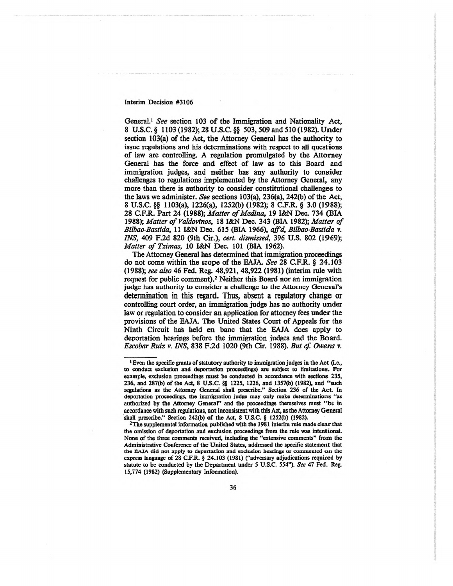## Interim Decision #3106

**General.1** *See* **section 103 of the Immigration and Nationality Act, 8 U.S.C.§ 1103 (1982); 28 U.S.C.§§ 503,509 and 510 (1982). Under section 103(a) of the Act, the Attorney General has the authority to issue regulations and his determinations with respect to all questions of law are controlling. A regulation promulgated by the Attorney General has the force and effect of law as to this Board and immigration judges, and neither has any authority to consider challenges to regulations implemented by the Attorney General, any more than there is authority to consider constitutional challenges to the laws we administer.** *See* **sections 103(a), 236(a), 242(b) ofthe Act, 8 U.S.C. §§ 1103(a), 1226(a), 1252(b) (1982); 8 C.F.R. § 3.0 (1988); 28 C.F.R. Part 24 (1988);** *Matter ofMedina,* **19 I&N Dec. 734 (BIA 1988);** *Matter of Valdovinos,* **18 I&N Dec. 343 (BIA 1982);** *Matter of Bilbao-Bastida,* **11 I&N Dec. 615 (BIA 1966),** *affd, Bilbao-Bastida* **v.** *INS,* **409 F.2d 820 (9th Cir.),** *cert, dismissed,* **396 U.S. 802 (1969);** *Matter of Tzimas,* **10 I&N Dec. 101 (BIA 1962).**

**The Attorney General has determined that immigration proceedings do not come within the scope of the EAJA.** *See* **28 C.F.R. § 24.103 (1988);** *see also* **46 Fed. Reg. 48,921, 48,922 (1981) (interim rule with request for public comment).2 Neither this Board nor an immigration** judge has authority to consider a challenge to **the** Attorney General's determination in this regard. Thus, absent a regulatory change or **controlling court order, an immigration judge has no authority under law or regulation to consider an application for attorney fees under the provisions of the EAJA. The United States Court of Appeals for the Ninth Circuit has held en banc that the EAJA does apply to deportation hearings before the immigration judges and the Board.** *Escobar Ruiz* **v.** *INS,* **838 F.2d 1020 (9th Cir. 1988).** *But cf. Owens* **v.**

<sup>&</sup>lt;sup>1</sup> Even the specific grants of statutory authority to immigration judges in the Act (i.e., to conduct exclusion and deportation proceedings) are subject to limitations. For example, exclusion proceedings must be conducted in accordance with sections 235, 236, and 287(b) of the Act, <sup>8</sup> U.S.C. §§ 1225, 1226, and 1357(b) (1982), and "such regulations as the Attorney General shall prescribe." Section 236 of the Act. In deportation proceedings, the immigration judge may only make determinations "as authorized by the Attorney General" and the proceedings themselves must "be in **accordance with such regulations, not inconsistent**with **this Act, as the Attorney General** shall prescribe." Section 242(b) of the Act, 8 U.S.C. § 1252(b) (1982).

<sup>&</sup>lt;sup>2</sup>The supplemental information published with the 1981 interim rule made clear that the omission of deportation and exclusion proceedings from the rule was intentional. None of the three comments received, including the "extensive comments" from the Administrative Conference of the United States, addressed the specific statement that the EAJA did not apply to deportation and exclusion heatings or commented on the express language of 28 C.F.R. § 24.103 (1981) ("adversary adjudications required by statute to be conducted by the Department under 5 U.S.C. 554"). *See* 47 Fed. Reg. 15,774 (1982) (Supplementary Information).